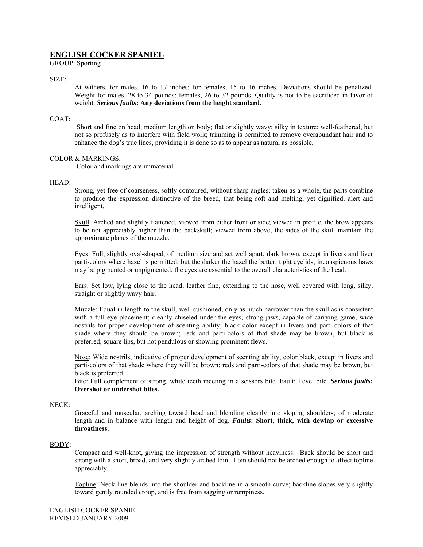# **ENGLISH COCKER SPANIEL**

GROUP: Sporting

## SIZE:

At withers, for males, 16 to 17 inches; for females, 15 to 16 inches. Deviations should be penalized. Weight for males, 28 to 34 pounds; females, 26 to 32 pounds. Quality is not to be sacrificed in favor of weight. *Serious faults***: Any deviations from the height standard.**

## COAT:

Short and fine on head; medium length on body; flat or slightly wavy; silky in texture; well-feathered, but not so profusely as to interfere with field work; trimming is permitted to remove overabundant hair and to enhance the dog's true lines, providing it is done so as to appear as natural as possible.

### COLOR & MARKINGS:

Color and markings are immaterial.

### HEAD:

Strong, yet free of coarseness, softly contoured, without sharp angles; taken as a whole, the parts combine to produce the expression distinctive of the breed, that being soft and melting, yet dignified, alert and intelligent.

Skull: Arched and slightly flattened, viewed from either front or side; viewed in profile, the brow appears to be not appreciably higher than the backskull; viewed from above, the sides of the skull maintain the approximate planes of the muzzle.

Eyes: Full, slightly oval-shaped, of medium size and set well apart; dark brown, except in livers and liver parti-colors where hazel is permitted, but the darker the hazel the better; tight eyelids; inconspicuous haws may be pigmented or unpigmented; the eyes are essential to the overall characteristics of the head.

Ears: Set low, lying close to the head; leather fine, extending to the nose, well covered with long, silky, straight or slightly wavy hair.

Muzzle: Equal in length to the skull; well-cushioned; only as much narrower than the skull as is consistent with a full eye placement; cleanly chiseled under the eyes; strong jaws, capable of carrying game; wide nostrils for proper development of scenting ability; black color except in livers and parti-colors of that shade where they should be brown; reds and parti-colors of that shade may be brown, but black is preferred; square lips, but not pendulous or showing prominent flews.

Nose: Wide nostrils, indicative of proper development of scenting ability; color black, except in livers and parti-colors of that shade where they will be brown; reds and parti-colors of that shade may be brown, but black is preferred.

Bite: Full complement of strong, white teeth meeting in a scissors bite. Fault: Level bite. *Serious faults***: Overshot or undershot bites.** 

### NECK:

Graceful and muscular, arching toward head and blending cleanly into sloping shoulders; of moderate length and in balance with length and height of dog. *Faults***: Short, thick, with dewlap or excessive throatiness.** 

### BODY:

Compact and well-knot, giving the impression of strength without heaviness. Back should be short and strong with a short, broad, and very slightly arched loin. Loin should not be arched enough to affect topline appreciably.

Topline: Neck line blends into the shoulder and backline in a smooth curve; backline slopes very slightly toward gently rounded croup, and is free from sagging or rumpiness.